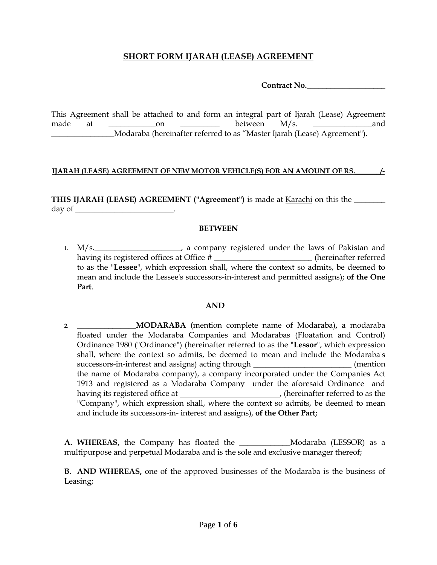# **SHORT FORM IJARAH (LEASE) AGREEMENT**

**Contract No.\_\_\_\_\_\_\_\_\_\_\_\_\_\_\_\_\_\_\_\_**

This Agreement shall be attached to and form an integral part of Ijarah (Lease) Agreement made at \_\_\_\_\_\_\_\_\_\_\_\_on \_\_\_\_\_\_\_\_\_\_ between M/s. \_\_\_\_\_\_\_\_\_\_\_\_\_\_\_and \_\_\_\_\_\_\_\_\_\_\_\_\_\_\_\_Modaraba (hereinafter referred to as "Master Ijarah (Lease) Agreement").

#### **IJARAH (LEASE) AGREEMENT OF NEW MOTOR VEHICLE(S) FOR AN AMOUNT OF RS.\_\_\_\_\_\_\_/-**

**THIS IJARAH (LEASE) AGREEMENT ("Agreement")** is made at Karachi on this the \_\_\_\_\_\_\_\_ day of  $\qquad \qquad$ 

#### **BETWEEN**

1. M/s.  $\blacksquare$  1. M/s. having its registered offices at Office # \_\_\_\_\_\_\_\_\_\_\_\_\_\_\_\_\_\_\_\_\_\_(hereinafter referred to as the "**Lessee**", which expression shall, where the context so admits, be deemed to mean and include the Lessee's successors-in-interest and permitted assigns); **of the One Part**.

#### **AND**

**2. \_\_\_\_\_\_\_\_\_\_\_\_\_\_\_MODARABA (**mention complete name of Modaraba)**,** a modaraba floated under the Modaraba Companies and Modarabas (Floatation and Control) Ordinance 1980 ("Ordinance") (hereinafter referred to as the "**Lessor**", which expression shall, where the context so admits, be deemed to mean and include the Modaraba's successors-in-interest and assigns) acting through *\_\_\_\_\_\_\_\_\_\_\_\_\_\_\_\_\_\_\_\_\_\_\_* (mention the name of Modaraba company), a company incorporated under the Companies Act 1913 and registered as a Modaraba Company under the aforesaid Ordinance and having its registered office at , (hereinafter referred to as the "Company", which expression shall, where the context so admits, be deemed to mean and include its successors-in- interest and assigns), **of the Other Part;**

**A. WHEREAS,** the Company has floated the \_\_\_\_\_\_\_\_\_\_\_Modaraba (LESSOR) as a multipurpose and perpetual Modaraba and is the sole and exclusive manager thereof;

**B. AND WHEREAS,** one of the approved businesses of the Modaraba is the business of Leasing;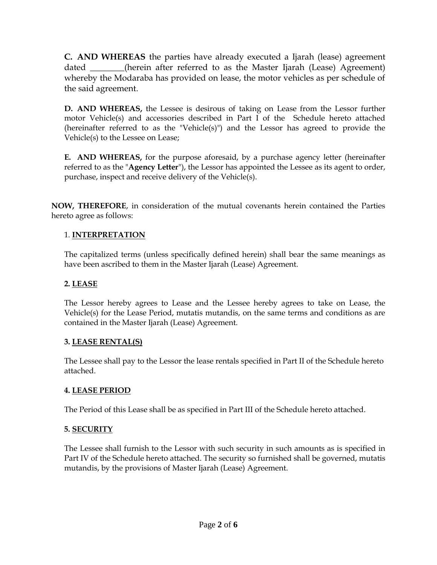**C. AND WHEREAS** the parties have already executed a Ijarah (lease) agreement dated (herein after referred to as the Master Ijarah (Lease) Agreement) whereby the Modaraba has provided on lease, the motor vehicles as per schedule of the said agreement.

**D. AND WHEREAS,** the Lessee is desirous of taking on Lease from the Lessor further motor Vehicle(s) and accessories described in Part I of the Schedule hereto attached (hereinafter referred to as the "Vehicle(s)") and the Lessor has agreed to provide the Vehicle(s) to the Lessee on Lease;

**E. AND WHEREAS,** for the purpose aforesaid, by a purchase agency letter (hereinafter referred to as the "**Agency Letter**"), the Lessor has appointed the Lessee as its agent to order, purchase, inspect and receive delivery of the Vehicle(s).

**NOW, THEREFORE**, in consideration of the mutual covenants herein contained the Parties hereto agree as follows:

### 1. **INTERPRETATION**

The capitalized terms (unless specifically defined herein) shall bear the same meanings as have been ascribed to them in the Master Ijarah (Lease) Agreement.

### **2. LEASE**

The Lessor hereby agrees to Lease and the Lessee hereby agrees to take on Lease, the Vehicle(s) for the Lease Period, mutatis mutandis, on the same terms and conditions as are contained in the Master Ijarah (Lease) Agreement.

### **3. LEASE RENTAL(S)**

The Lessee shall pay to the Lessor the lease rentals specified in Part II of the Schedule hereto attached.

### **4. LEASE PERIOD**

The Period of this Lease shall be as specified in Part III of the Schedule hereto attached.

# **5. SECURITY**

The Lessee shall furnish to the Lessor with such security in such amounts as is specified in Part IV of the Schedule hereto attached. The security so furnished shall be governed, mutatis mutandis, by the provisions of Master Ijarah (Lease) Agreement.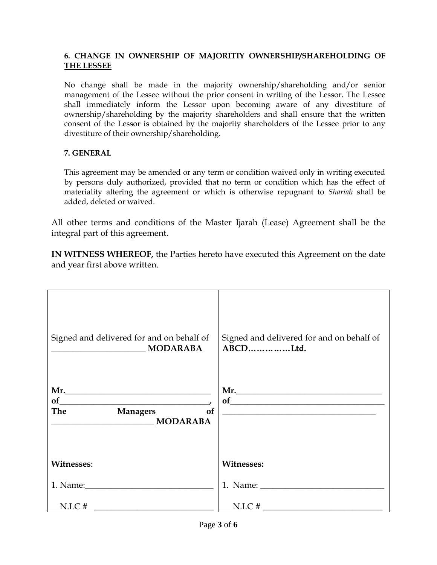### **6. CHANGE IN OWNERSHIP OF MAJORITIY OWNERSHIP/SHAREHOLDING OF THE LESSEE**

No change shall be made in the majority ownership/shareholding and/or senior management of the Lessee without the prior consent in writing of the Lessor. The Lessee shall immediately inform the Lessor upon becoming aware of any divestiture of ownership/shareholding by the majority shareholders and shall ensure that the written consent of the Lessor is obtained by the majority shareholders of the Lessee prior to any divestiture of their ownership/shareholding.

# **7. GENERAL**

This agreement may be amended or any term or condition waived only in writing executed by persons duly authorized, provided that no term or condition which has the effect of materiality altering the agreement or which is otherwise repugnant to *Shariah* shall be added, deleted or waived.

All other terms and conditions of the Master Ijarah (Lease) Agreement shall be the integral part of this agreement.

**IN WITNESS WHEREOF,** the Parties hereto have executed this Agreement on the date and year first above written.

| Signed and delivered for and on behalf of<br>MODARABA | Signed and delivered for and on behalf of<br>ABCDLtd. |
|-------------------------------------------------------|-------------------------------------------------------|
| of<br>Managers of<br><b>The</b><br><b>MODARABA</b>    | Mr.<br><u> 1980 - Andrea Andrew Maria (h. 1980).</u>  |
| <b>Witnesses:</b>                                     | <b>Witnesses:</b>                                     |
|                                                       | 1. Name:                                              |
| $N.I.C.$ #                                            | $N.I.C.$ #                                            |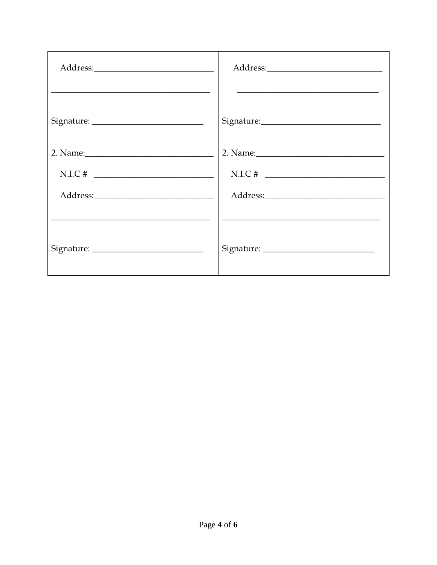| $N.I.C.$ # | $N.I.C.$ # |
|------------|------------|
|            |            |
|            |            |
|            |            |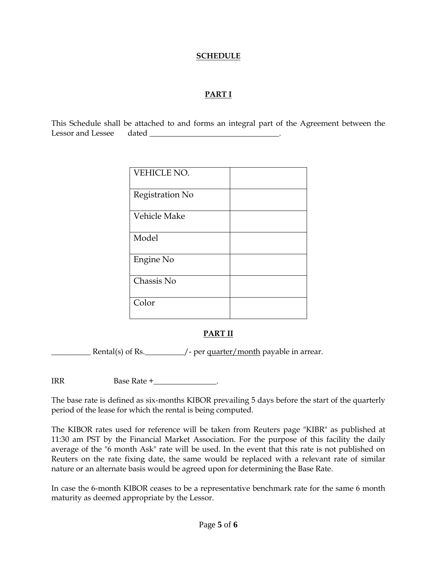#### **SCHEDULE**

# **PART I**

This Schedule shall be attached to and forms an integral part of the Agreement between the Lessor and Lessee dated

| VEHICLE NO.     |  |
|-----------------|--|
| Registration No |  |
| Vehicle Make    |  |
| Model           |  |
| Engine No       |  |
| Chassis No      |  |
| Color           |  |

# **PART II**

Example 1 Rental(s) of Rs. The same of - per quarter/month payable in arrear.

IRR Base Rate +

The base rate is defined as six-months KIBOR prevailing 5 days before the start of the quarterly period of the lease for which the rental is being computed.

The KIBOR rates used for reference will be taken from Reuters page "KIBR" as published at 11:30 am PST by the Financial Market Association. For the purpose of this facility the daily average of the "6 month Ask" rate will be used. In the event that this rate is not published on Reuters on the rate fixing date, the same would be replaced with a relevant rate of similar nature or an alternate basis would be agreed upon for determining the Base Rate.

In case the 6-month KIBOR ceases to be a representative benchmark rate for the same 6 month maturity as deemed appropriate by the Lessor.